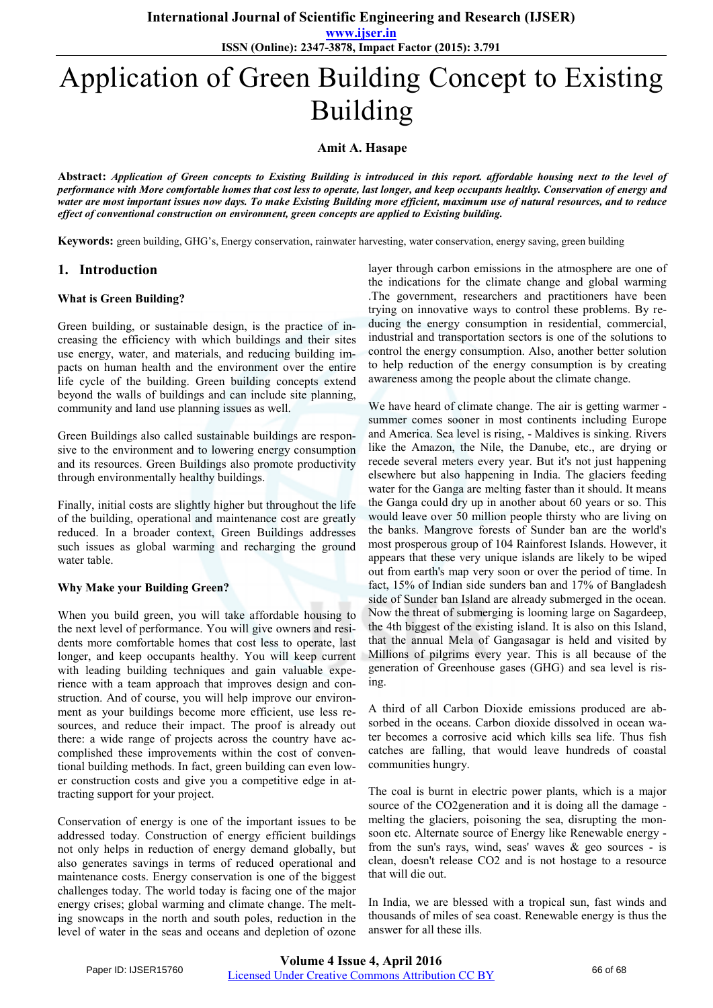**www.ijser.in ISSN (Online): 2347-3878, Impact Factor (2015): 3.791**

# Application of Green Building Concept to Existing Building

**Amit A. Hasape** 

**Abstract:** *Application of Green concepts to Existing Building is introduced in this report. affordable housing next to the level of performance with More comfortable homes that cost less to operate, last longer, and keep occupants healthy. Conservation of energy and water are most important issues now days. To make Existing Building more efficient, maximum use of natural resources, and to reduce effect of conventional construction on environment, green concepts are applied to Existing building.*

**Keywords:** green building, GHG's, Energy conservation, rainwater harvesting, water conservation, energy saving, green building

## **1. Introduction**

#### **What is Green Building?**

Green building, or sustainable design, is the practice of increasing the efficiency with which buildings and their sites use energy, water, and materials, and reducing building impacts on human health and the environment over the entire life cycle of the building. Green building concepts extend beyond the walls of buildings and can include site planning, community and land use planning issues as well.

Green Buildings also called sustainable buildings are responsive to the environment and to lowering energy consumption and its resources. Green Buildings also promote productivity through environmentally healthy buildings.

Finally, initial costs are slightly higher but throughout the life of the building, operational and maintenance cost are greatly reduced. In a broader context, Green Buildings addresses such issues as global warming and recharging the ground water table.

#### **Why Make your Building Green?**

When you build green, you will take affordable housing to the next level of performance. You will give owners and residents more comfortable homes that cost less to operate, last longer, and keep occupants healthy. You will keep current with leading building techniques and gain valuable experience with a team approach that improves design and construction. And of course, you will help improve our environment as your buildings become more efficient, use less resources, and reduce their impact. The proof is already out there: a wide range of projects across the country have accomplished these improvements within the cost of conventional building methods. In fact, green building can even lower construction costs and give you a competitive edge in attracting support for your project.

Conservation of energy is one of the important issues to be addressed today. Construction of energy efficient buildings not only helps in reduction of energy demand globally, but also generates savings in terms of reduced operational and maintenance costs. Energy conservation is one of the biggest challenges today. The world today is facing one of the major energy crises; global warming and climate change. The melting snowcaps in the north and south poles, reduction in the level of water in the seas and oceans and depletion of ozone layer through carbon emissions in the atmosphere are one of the indications for the climate change and global warming .The government, researchers and practitioners have been trying on innovative ways to control these problems. By reducing the energy consumption in residential, commercial, industrial and transportation sectors is one of the solutions to control the energy consumption. Also, another better solution to help reduction of the energy consumption is by creating awareness among the people about the climate change.

We have heard of climate change. The air is getting warmer summer comes sooner in most continents including Europe and America. Sea level is rising, - Maldives is sinking. Rivers like the Amazon, the Nile, the Danube, etc., are drying or recede several meters every year. But it's not just happening elsewhere but also happening in India. The glaciers feeding water for the Ganga are melting faster than it should. It means the Ganga could dry up in another about 60 years or so. This would leave over 50 million people thirsty who are living on the banks. Mangrove forests of Sunder ban are the world's most prosperous group of 104 Rainforest Islands. However, it appears that these very unique islands are likely to be wiped out from earth's map very soon or over the period of time. In fact, 15% of Indian side sunders ban and 17% of Bangladesh side of Sunder ban Island are already submerged in the ocean. Now the threat of submerging is looming large on Sagardeep, the 4th biggest of the existing island. It is also on this Island, that the annual Mela of Gangasagar is held and visited by Millions of pilgrims every year. This is all because of the generation of Greenhouse gases (GHG) and sea level is rising.

A third of all Carbon Dioxide emissions produced are absorbed in the oceans. Carbon dioxide dissolved in ocean water becomes a corrosive acid which kills sea life. Thus fish catches are falling, that would leave hundreds of coastal communities hungry.

The coal is burnt in electric power plants, which is a major source of the CO2generation and it is doing all the damage melting the glaciers, poisoning the sea, disrupting the monsoon etc. Alternate source of Energy like Renewable energy from the sun's rays, wind, seas' waves  $\&$  geo sources - is clean, doesn't release CO2 and is not hostage to a resource that will die out.

In India, we are blessed with a tropical sun, fast winds and thousands of miles of sea coast. Renewable energy is thus the answer for all these ills.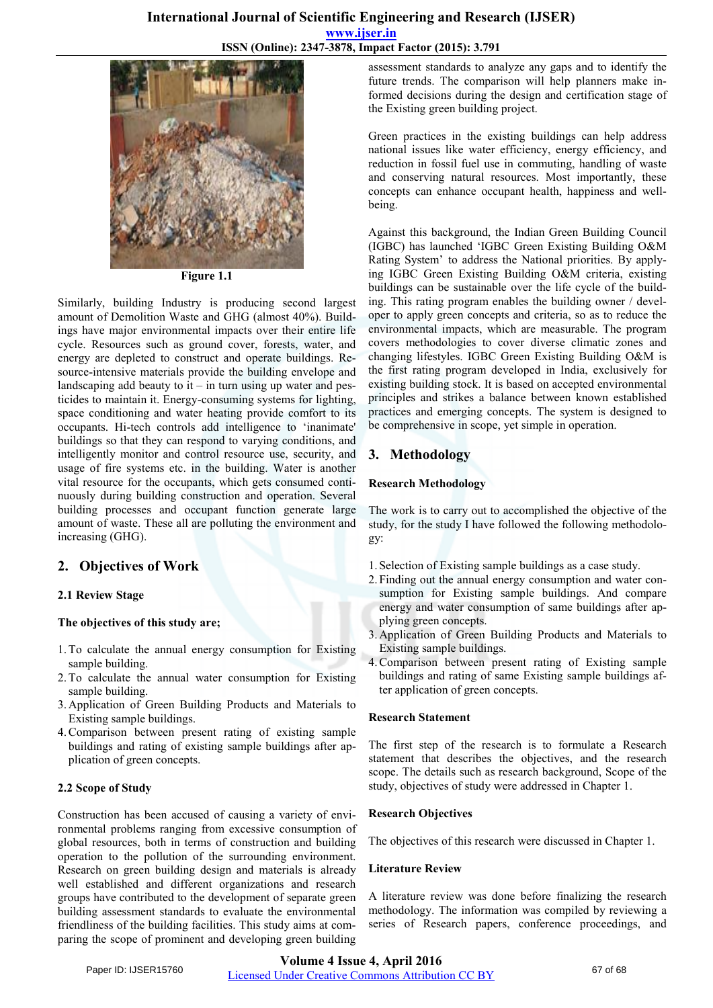

**Figure 1.1** 

Similarly, building Industry is producing second largest amount of Demolition Waste and GHG (almost 40%). Buildings have major environmental impacts over their entire life cycle. Resources such as ground cover, forests, water, and energy are depleted to construct and operate buildings. Resource-intensive materials provide the building envelope and landscaping add beauty to  $it - in turn using up water and pes$ ticides to maintain it. Energy-consuming systems for lighting, space conditioning and water heating provide comfort to its occupants. Hi-tech controls add intelligence to 'inanimate' buildings so that they can respond to varying conditions, and intelligently monitor and control resource use, security, and usage of fire systems etc. in the building. Water is another vital resource for the occupants, which gets consumed continuously during building construction and operation. Several building processes and occupant function generate large amount of waste. These all are polluting the environment and increasing (GHG).

# **2. Objectives of Work**

#### **2.1 Review Stage**

#### **The objectives of this study are;**

- 1.To calculate the annual energy consumption for Existing sample building.
- 2.To calculate the annual water consumption for Existing sample building.
- 3. Application of Green Building Products and Materials to Existing sample buildings.
- 4.Comparison between present rating of existing sample buildings and rating of existing sample buildings after application of green concepts.

#### **2.2 Scope of Study**

Construction has been accused of causing a variety of environmental problems ranging from excessive consumption of global resources, both in terms of construction and building operation to the pollution of the surrounding environment. Research on green building design and materials is already well established and different organizations and research groups have contributed to the development of separate green building assessment standards to evaluate the environmental friendliness of the building facilities. This study aims at comparing the scope of prominent and developing green building

assessment standards to analyze any gaps and to identify the future trends. The comparison will help planners make informed decisions during the design and certification stage of the Existing green building project.

Green practices in the existing buildings can help address national issues like water efficiency, energy efficiency, and reduction in fossil fuel use in commuting, handling of waste and conserving natural resources. Most importantly, these concepts can enhance occupant health, happiness and wellbeing.

Against this background, the Indian Green Building Council (IGBC) has launched 'IGBC Green Existing Building O&M Rating System' to address the National priorities. By applying IGBC Green Existing Building O&M criteria, existing buildings can be sustainable over the life cycle of the building. This rating program enables the building owner / developer to apply green concepts and criteria, so as to reduce the environmental impacts, which are measurable. The program covers methodologies to cover diverse climatic zones and changing lifestyles. IGBC Green Existing Building O&M is the first rating program developed in India, exclusively for existing building stock. It is based on accepted environmental principles and strikes a balance between known established practices and emerging concepts. The system is designed to be comprehensive in scope, yet simple in operation.

## **3. Methodology**

#### **Research Methodology**

The work is to carry out to accomplished the objective of the study, for the study I have followed the following methodology:

- 1. Selection of Existing sample buildings as a case study.
- 2. Finding out the annual energy consumption and water consumption for Existing sample buildings. And compare energy and water consumption of same buildings after applying green concepts.
- 3. Application of Green Building Products and Materials to Existing sample buildings.
- 4.Comparison between present rating of Existing sample buildings and rating of same Existing sample buildings after application of green concepts.

#### **Research Statement**

The first step of the research is to formulate a Research statement that describes the objectives, and the research scope. The details such as research background, Scope of the study, objectives of study were addressed in Chapter 1.

#### **Research Objectives**

The objectives of this research were discussed in Chapter 1.

#### **Literature Review**

A literature review was done before finalizing the research methodology. The information was compiled by reviewing a series of Research papers, conference proceedings, and